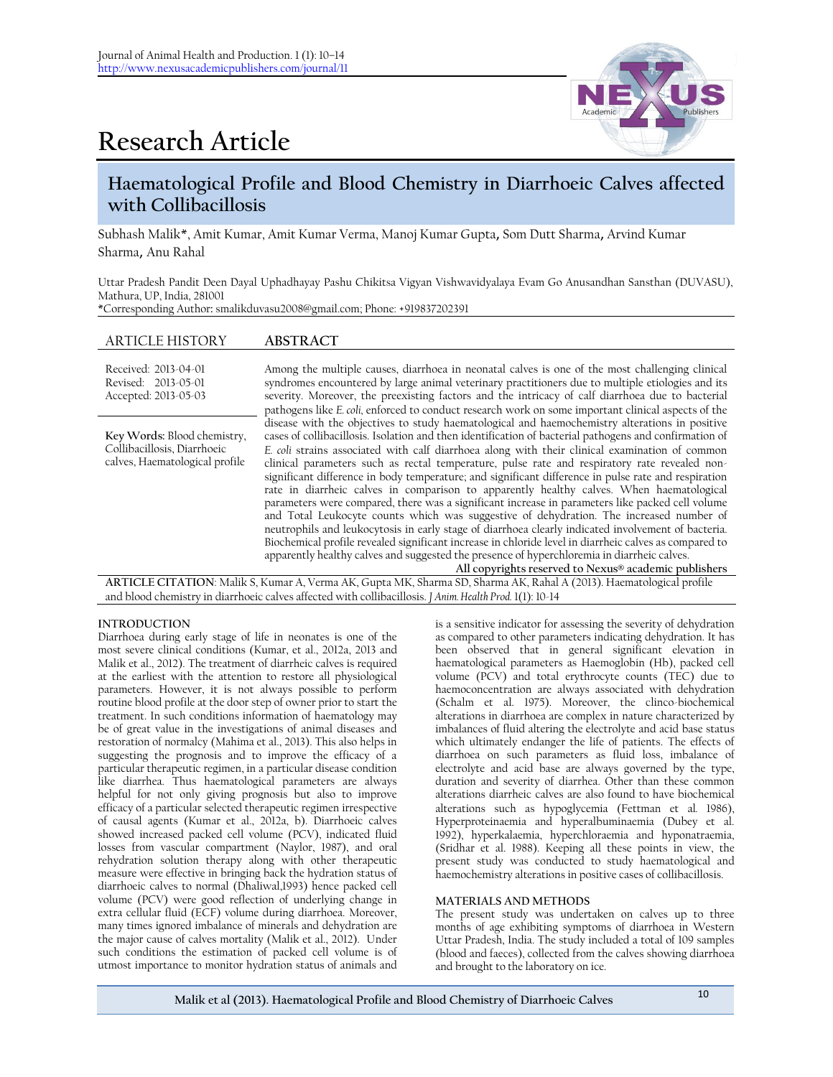

# **Research Article**

## **Haematological Profile and Blood Chemistry in Diarrhoeic Calves affected with Collibacillosis**

Subhash Malik\*, Amit Kumar, Amit Kumar Verma, Manoj Kumar Gupta, Som Dutt Sharma, Arvind Kumar Sharma, Anu Rahal

Uttar Pradesh Pandit Deen Dayal Uphadhayay Pashu Chikitsa Vigyan Vishwavidyalaya Evam Go Anusandhan Sansthan (DUVASU), Mathura, UP, India, 281001 \*Corresponding Author**:** [smalikduvasu2008@gmail.com;](mailto:smalikduvasu@gmail.com) Phone: +919837202391

### ARTICLE HISTORY **ABSTRACT**

| Received: 2013-04-01<br>Revised: 2013-05-01<br>Accepted: 2013-05-03                          | Among the multiple causes, diarrhoea in neonatal calves is one of the most challenging clinical<br>syndromes encountered by large animal veterinary practitioners due to multiple etiologies and its<br>severity. Moreover, the preexisting factors and the intricacy of calf diarrhoea due to bacterial<br>pathogens like E. coli, enforced to conduct research work on some important clinical aspects of the                                                                                                                                                                                                                                                                                                                                                                                                                                                                                                                                                                                                                                                                                                                                                                         |
|----------------------------------------------------------------------------------------------|-----------------------------------------------------------------------------------------------------------------------------------------------------------------------------------------------------------------------------------------------------------------------------------------------------------------------------------------------------------------------------------------------------------------------------------------------------------------------------------------------------------------------------------------------------------------------------------------------------------------------------------------------------------------------------------------------------------------------------------------------------------------------------------------------------------------------------------------------------------------------------------------------------------------------------------------------------------------------------------------------------------------------------------------------------------------------------------------------------------------------------------------------------------------------------------------|
| Key Words: Blood chemistry,<br>Collibacillosis, Diarrhoeic<br>calves, Haematological profile | disease with the objectives to study haematological and haemochemistry alterations in positive<br>cases of collibacillosis. Isolation and then identification of bacterial pathogens and confirmation of<br>E. coli strains associated with calf diarrhoea along with their clinical examination of common<br>clinical parameters such as rectal temperature, pulse rate and respiratory rate revealed non-<br>significant difference in body temperature; and significant difference in pulse rate and respiration<br>rate in diarrheic calves in comparison to apparently healthy calves. When haematological<br>parameters were compared, there was a significant increase in parameters like packed cell volume<br>and Total Leukocyte counts which was suggestive of dehydration. The increased number of<br>neutrophils and leukocytosis in early stage of diarrhoea clearly indicated involvement of bacteria.<br>Biochemical profile revealed significant increase in chloride level in diarrheic calves as compared to<br>apparently healthy calves and suggested the presence of hyperchloremia in diarrheic calves.<br>All copyrights reserved to Nexus® academic publishers |

**ARTICLE CITATION**: Malik S, Kumar A, Verma AK, Gupta MK, Sharma SD, Sharma AK, Rahal A (2013). Haematological profile and blood chemistry in diarrhoeic calves affected with collibacillosis. *J Anim. Health Prod.* 1(1): 10-14

#### **INTRODUCTION**

Diarrhoea during early stage of life in neonates is one of the most severe clinical conditions (Kumar, et al., 2012a, 2013 and Malik et al., 2012). The treatment of diarrheic calves is required at the earliest with the attention to restore all physiological parameters. However, it is not always possible to perform routine blood profile at the door step of owner prior to start the treatment. In such conditions information of haematology may be of great value in the investigations of animal diseases and restoration of normalcy (Mahima et al., 2013). This also helps in suggesting the prognosis and to improve the efficacy of a particular therapeutic regimen, in a particular disease condition like diarrhea. Thus haematological parameters are always helpful for not only giving prognosis but also to improve efficacy of a particular selected therapeutic regimen irrespective of causal agents (Kumar et al., 2012a, b). Diarrhoeic calves showed increased packed cell volume (PCV), indicated fluid losses from vascular compartment (Naylor, 1987), and oral rehydration solution therapy along with other therapeutic measure were effective in bringing back the hydration status of diarrhoeic calves to normal (Dhaliwal,1993) hence packed cell volume (PCV) were good reflection of underlying change in extra cellular fluid (ECF) volume during diarrhoea. Moreover, many times ignored imbalance of minerals and dehydration are the major cause of calves mortality (Malik et al., 2012). Under such conditions the estimation of packed cell volume is of utmost importance to monitor hydration status of animals and

is a sensitive indicator for assessing the severity of dehydration as compared to other parameters indicating dehydration. It has been observed that in general significant elevation in haematological parameters as Haemoglobin (Hb), packed cell volume (PCV) and total erythrocyte counts (TEC) due to haemoconcentration are always associated with dehydration (Schalm et al. 1975). Moreover, the clinco-biochemical alterations in diarrhoea are complex in nature characterized by imbalances of fluid altering the electrolyte and acid base status which ultimately endanger the life of patients. The effects of diarrhoea on such parameters as fluid loss, imbalance of electrolyte and acid base are always governed by the type, duration and severity of diarrhea. Other than these common alterations diarrheic calves are also found to have biochemical alterations such as hypoglycemia (Fettman et al*.* 1986), Hyperproteinaemia and hyperalbuminaemia (Dubey et al. 1992), hyperkalaemia, hyperchloraemia and hyponatraemia, (Sridhar et al. 1988). Keeping all these points in view, the present study was conducted to study haematological and haemochemistry alterations in positive cases of collibacillosis.

#### **MATERIALS AND METHODS**

The present study was undertaken on calves up to three months of age exhibiting symptoms of diarrhoea in Western Uttar Pradesh, India. The study included a total of 109 samples (blood and faeces), collected from the calves showing diarrhoea and brought to the laboratory on ice.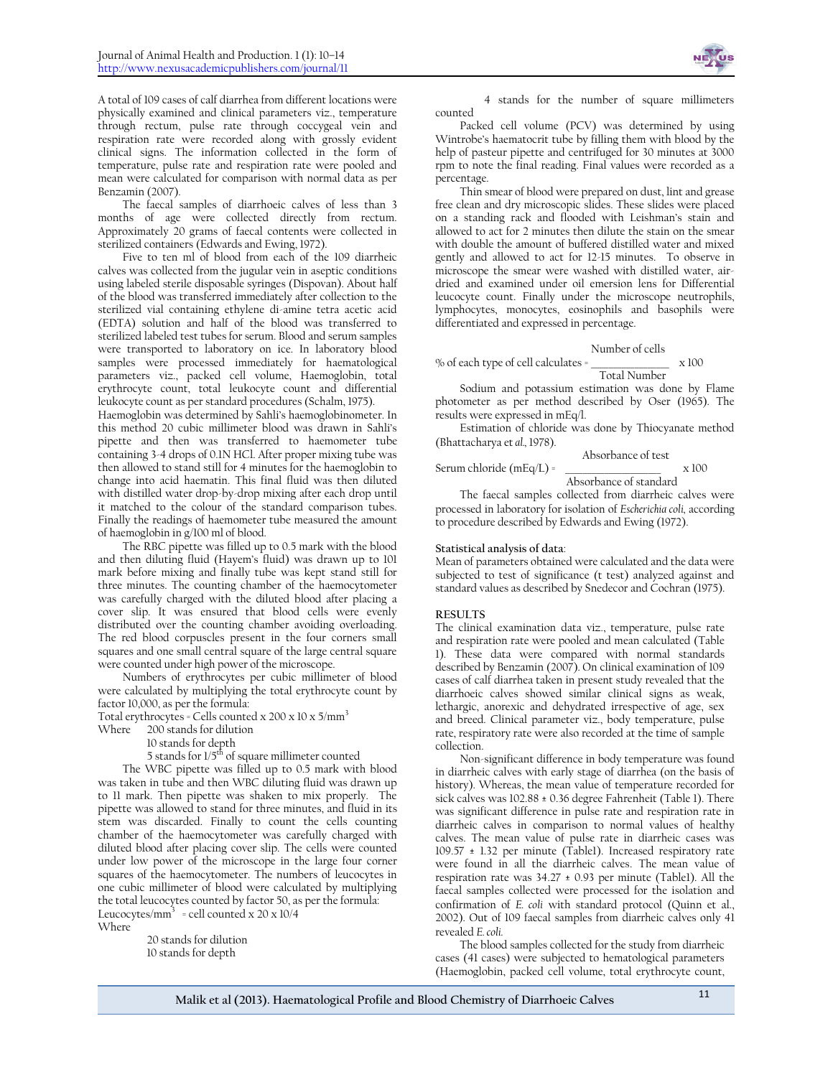

A total of 109 cases of calf diarrhea from different locations were physically examined and clinical parameters viz., temperature through rectum, pulse rate through coccygeal vein and respiration rate were recorded along with grossly evident clinical signs. The information collected in the form of temperature, pulse rate and respiration rate were pooled and mean were calculated for comparison with normal data as per Benzamin (2007).

The faecal samples of diarrhoeic calves of less than 3 months of age were collected directly from rectum. Approximately 20 grams of faecal contents were collected in sterilized containers (Edwards and Ewing, 1972).

Five to ten ml of blood from each of the 109 diarrheic calves was collected from the jugular vein in aseptic conditions using labeled sterile disposable syringes (Dispovan). About half of the blood was transferred immediately after collection to the sterilized vial containing ethylene di-amine tetra acetic acid (EDTA) solution and half of the blood was transferred to sterilized labeled test tubes for serum. Blood and serum samples were transported to laboratory on ice. In laboratory blood samples were processed immediately for haematological parameters viz., packed cell volume, Haemoglobin, total erythrocyte count, total leukocyte count and differential leukocyte count as per standard procedures (Schalm, 1975).

Haemoglobin was determined by Sahli's haemoglobinometer. In this method 20 cubic millimeter blood was drawn in Sahli's pipette and then was transferred to haemometer tube containing 3-4 drops of 0.1N HCl. After proper mixing tube was then allowed to stand still for 4 minutes for the haemoglobin to change into acid haematin. This final fluid was then diluted with distilled water drop-by-drop mixing after each drop until it matched to the colour of the standard comparison tubes. Finally the readings of haemometer tube measured the amount of haemoglobin in g/100 ml of blood.

The RBC pipette was filled up to 0.5 mark with the blood and then diluting fluid (Hayem's fluid) was drawn up to 101 mark before mixing and finally tube was kept stand still for three minutes. The counting chamber of the haemocytometer was carefully charged with the diluted blood after placing a cover slip. It was ensured that blood cells were evenly distributed over the counting chamber avoiding overloading. The red blood corpuscles present in the four corners small squares and one small central square of the large central square were counted under high power of the microscope.

Numbers of erythrocytes per cubic millimeter of blood were calculated by multiplying the total erythrocyte count by factor 10,000, as per the formula:

Total erythrocytes = Cells counted x  $200 \times 10 \times 5/\text{mm}^3$ 

Where 200 stands for dilution

10 stands for depth

5 stands for 1/5<sup>th</sup> of square millimeter counted

The WBC pipette was filled up to 0.5 mark with blood was taken in tube and then WBC diluting fluid was drawn up to 11 mark. Then pipette was shaken to mix properly. The pipette was allowed to stand for three minutes, and fluid in its stem was discarded. Finally to count the cells counting chamber of the haemocytometer was carefully charged with diluted blood after placing cover slip. The cells were counted under low power of the microscope in the large four corner squares of the haemocytometer. The numbers of leucocytes in one cubic millimeter of blood were calculated by multiplying the total leucocytes counted by factor 50, as per the formula: Leucocytes/ $mm^3$  = cell counted x 20 x 10/4 Where

20 stands for dilution 10 stands for depth

4 stands for the number of square millimeters counted

Packed cell volume (PCV) was determined by using Wintrobe's haematocrit tube by filling them with blood by the help of pasteur pipette and centrifuged for 30 minutes at 3000 rpm to note the final reading. Final values were recorded as a percentage.

Thin smear of blood were prepared on dust, lint and grease free clean and dry microscopic slides. These slides were placed on a standing rack and flooded with Leishman's stain and allowed to act for 2 minutes then dilute the stain on the smear with double the amount of buffered distilled water and mixed gently and allowed to act for 12-15 minutes. To observe in microscope the smear were washed with distilled water, airdried and examined under oil emersion lens for Differential leucocyte count. Finally under the microscope neutrophils, lymphocytes, monocytes, eosinophils and basophils were differentiated and expressed in percentage.

#### Number of cells

% of each type of cell calculates =  $\frac{1}{2}$  x 100 Total Number

Sodium and potassium estimation was done by Flame photometer as per method described by Oser (1965). The results were expressed in mEq/l.

Estimation of chloride was done by Thiocyanate method (Bhattacharya et *al.,* 1978).

|                              | Absorbance of test     |              |
|------------------------------|------------------------|--------------|
| Serum chloride ( $mEq/L$ ) = |                        | $\times 100$ |
|                              | Absorbance of standard |              |

The faecal samples collected from diarrheic calves were processed in laboratory for isolation of *Escherichia coli,* according to procedure described by Edwards and Ewing (1972).

#### **Statistical analysis of data**:

Mean of parameters obtained were calculated and the data were subjected to test of significance (t test) analyzed against and standard values as described by Snedecor and Cochran (1975).

#### **RESULTS**

The clinical examination data viz., temperature, pulse rate and respiration rate were pooled and mean calculated (Table 1). These data were compared with normal standards described by Benzamin (2007). On clinical examination of 109 cases of calf diarrhea taken in present study revealed that the diarrhoeic calves showed similar clinical signs as weak, lethargic, anorexic and dehydrated irrespective of age, sex and breed. Clinical parameter viz., body temperature, pulse rate, respiratory rate were also recorded at the time of sample collection.

Non-significant difference in body temperature was found in diarrheic calves with early stage of diarrhea (on the basis of history). Whereas, the mean value of temperature recorded for sick calves was 102.88 ± 0.36 degree Fahrenheit (Table 1). There was significant difference in pulse rate and respiration rate in diarrheic calves in comparison to normal values of healthy calves. The mean value of pulse rate in diarrheic cases was 109.57 ± 1.32 per minute (Table1). Increased respiratory rate were found in all the diarrheic calves. The mean value of respiration rate was  $34.27 \pm 0.93$  per minute (Table1). All the faecal samples collected were processed for the isolation and confirmation of *E. coli* with standard protocol (Quinn et al., 2002). Out of 109 faecal samples from diarrheic calves only 41 revealed *E. coli.*

The blood samples collected for the study from diarrheic cases (41 cases) were subjected to hematological parameters (Haemoglobin, packed cell volume, total erythrocyte count,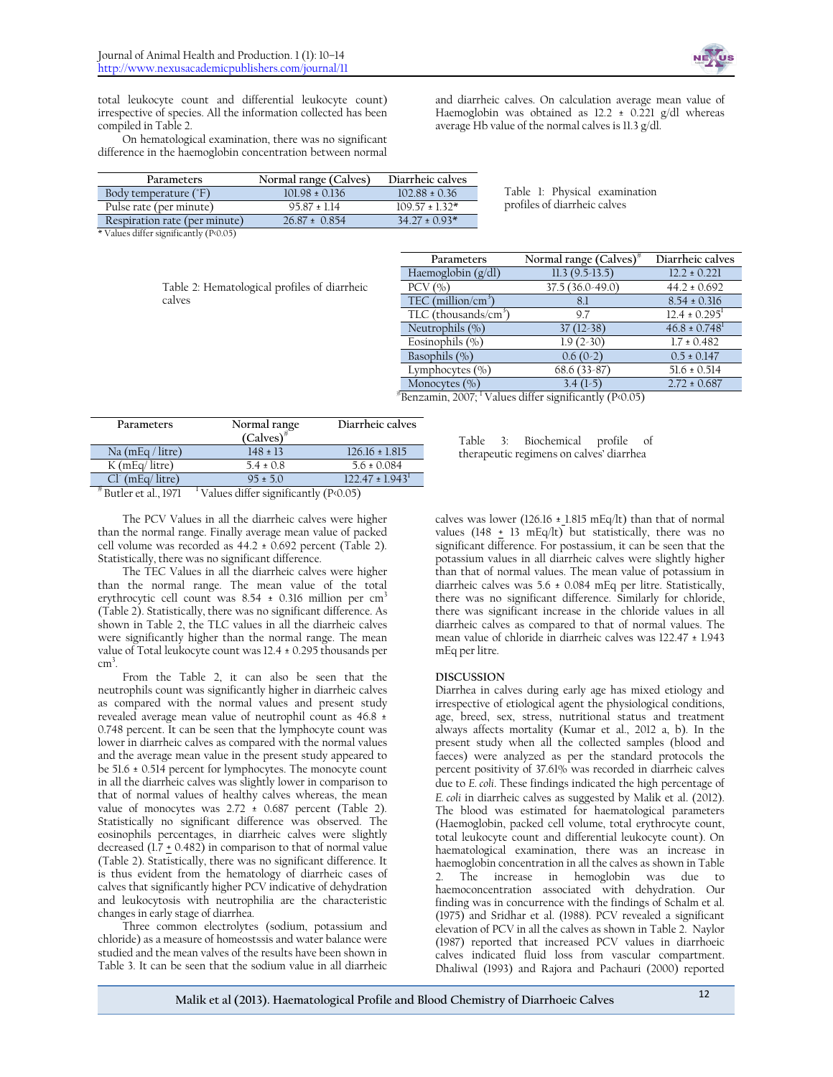

total leukocyte count and differential leukocyte count) irrespective of species. All the information collected has been compiled in Table 2.

On hematological examination, there was no significant difference in the haemoglobin concentration between normal

and diarrheic calves. On calculation average mean value of Haemoglobin was obtained as  $12.2 \pm 0.221$  g/dl whereas average Hb value of the normal calves is 11.3 g/dl.

| <b>Parameters</b>             | Normal range (Calves) | Diarrheic calves    |                               |
|-------------------------------|-----------------------|---------------------|-------------------------------|
| Body temperature (°F)         | $101.98 \pm 0.136$    | $102.88 \pm 0.36$   | Table 1: Physical examination |
| Pulse rate (per minute)       | $95.87 \pm 1.14$      | $109.57 \pm 1.32^*$ | profiles of diarrheic calves  |
| Respiration rate (per minute) | $26.87 \pm 0.854$     | $34.27 \pm 0.93*$   |                               |

\* Values differ significantly (P<0.05)

|        | Table 2: Hematological profiles of diarrheic |  |
|--------|----------------------------------------------|--|
| calves |                                              |  |

| Parameters                       | Normal range $(Calves)^*$ | Diarrheic calves              |
|----------------------------------|---------------------------|-------------------------------|
| Haemoglobin $(g/dl)$             | $11.3(9.5-13.5)$          | $12.2 \pm 0.221$              |
| $PCV$ $(\%)$                     | $37.5(36.0-49.0)$         | $44.2 \pm 0.692$              |
| TEC (million/cm <sup>3</sup>     | 8.1                       | $8.54 \pm 0.316$              |
| TLC (thousands/cm <sup>3</sup> ) | 9.7                       | $12.4 \pm 0.295^1$            |
| Neutrophils (%)                  | $37(12-38)$               | $46.8 \pm 0.748$ <sup>1</sup> |
| Eosinophils $(\% )$              | $1.9(2-30)$               | $1.7 \pm 0.482$               |
| Basophils (%)                    | $0.6(0-2)$                | $0.5 \pm 0.147$               |
| Lymphocytes $(\% )$              | $68.6(33-87)$             | $51.6 \pm 0.514$              |
| Monocytes $(\% )$                | $3.4(1-5)$                | $2.72 \pm 0.687$              |

# Benzamin, 2007; <sup>1</sup> Values differ significantly (P<0.05)

| Parameters            | Normal range<br>$(Calves)^*$                      | Diarrheic calves   |
|-----------------------|---------------------------------------------------|--------------------|
| Na $(mEq / litre)$    | $148 \pm 13$                                      | $126.16 \pm 1.815$ |
| $K$ (mEq/ litre)      | $5.4 \pm 0.8$                                     | $5.6 \pm 0.084$    |
| $Cl^{(mEq/litter)}$   | $95 + 50$                                         | $122.47 \pm 1.943$ |
| * Butler et al., 1971 | <sup>1</sup> Values differ significantly (P<0.05) |                    |

Table 3: Biochemical profile of therapeutic regimens on calves' diarrhea

The PCV Values in all the diarrheic calves were higher than the normal range. Finally average mean value of packed cell volume was recorded as 44.2 ± 0.692 percent (Table 2). Statistically, there was no significant difference.

The TEC Values in all the diarrheic calves were higher than the normal range. The mean value of the total erythrocytic cell count was  $8.54 \pm 0.316$  million per cm<sup>3</sup> (Table 2). Statistically, there was no significant difference. As shown in Table 2, the TLC values in all the diarrheic calves were significantly higher than the normal range. The mean value of Total leukocyte count was 12.4 ± 0.295 thousands per cm 3 .

From the Table 2, it can also be seen that the neutrophils count was significantly higher in diarrheic calves as compared with the normal values and present study revealed average mean value of neutrophil count as 46.8 ± 0.748 percent. It can be seen that the lymphocyte count was lower in diarrheic calves as compared with the normal values and the average mean value in the present study appeared to be 51.6 ± 0.514 percent for lymphocytes. The monocyte count in all the diarrheic calves was slightly lower in comparison to that of normal values of healthy calves whereas, the mean value of monocytes was  $2.72 \pm 0.687$  percent (Table 2). Statistically no significant difference was observed. The eosinophils percentages, in diarrheic calves were slightly decreased (1.7 + 0.482) in comparison to that of normal value (Table 2). Statistically, there was no significant difference. It is thus evident from the hematology of diarrheic cases of calves that significantly higher PCV indicative of dehydration and leukocytosis with neutrophilia are the characteristic changes in early stage of diarrhea.

Three common electrolytes (sodium, potassium and chloride) as a measure of homeostssis and water balance were studied and the mean valves of the results have been shown in Table 3. It can be seen that the sodium value in all diarrheic calves was lower (126.16  $\pm$  1.815 mEq/lt) than that of normal values (148  $\pm$  13 mEq/lt) but statistically, there was no significant difference. For postassium, it can be seen that the potassium values in all diarrheic calves were slightly higher than that of normal values. The mean value of potassium in diarrheic calves was  $5.6 \pm 0.084$  mEq per litre. Statistically, there was no significant difference. Similarly for chloride, there was significant increase in the chloride values in all diarrheic calves as compared to that of normal values. The mean value of chloride in diarrheic calves was 122.47 ± 1.943 mEq per litre.

#### **DISCUSSION**

Diarrhea in calves during early age has mixed etiology and irrespective of etiological agent the physiological conditions, age, breed, sex, stress, nutritional status and treatment always affects mortality (Kumar et al., 2012 a, b). In the present study when all the collected samples (blood and faeces) were analyzed as per the standard protocols the percent positivity of 37.61% was recorded in diarrheic calves due to *E. coli*. These findings indicated the high percentage of *E. coli* in diarrheic calves as suggested by Malik et al. (2012). The blood was estimated for haematological parameters (Haemoglobin, packed cell volume, total erythrocyte count, total leukocyte count and differential leukocyte count). On haematological examination, there was an increase in haemoglobin concentration in all the calves as shown in Table 2. The increase in hemoglobin was due to haemoconcentration associated with dehydration. Our finding was in concurrence with the findings of Schalm et al. (1975) and Sridhar et al. (1988). PCV revealed a significant elevation of PCV in all the calves as shown in Table 2. Naylor (1987) reported that increased PCV values in diarrhoeic calves indicated fluid loss from vascular compartment. Dhaliwal (1993) and Rajora and Pachauri (2000) reported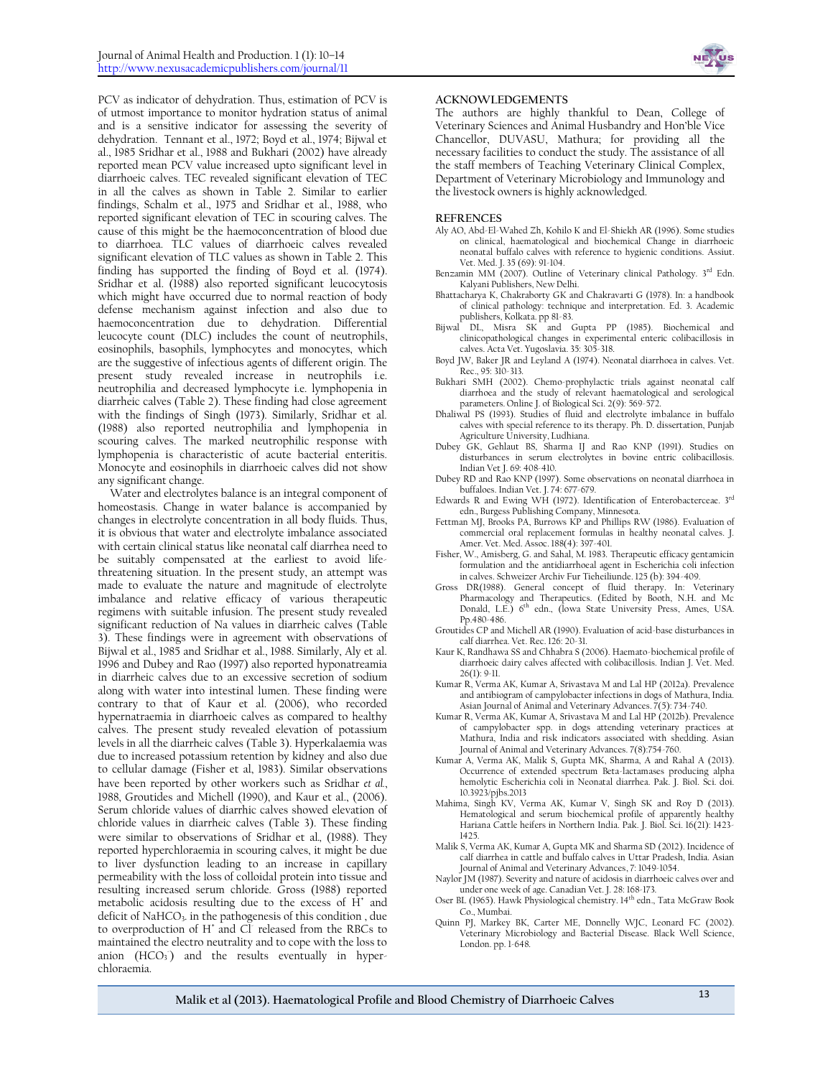PCV as indicator of dehydration. Thus, estimation of PCV is of utmost importance to monitor hydration status of animal and is a sensitive indicator for assessing the severity of dehydration. Tennant et al., 1972; Boyd et al., 1974; Bijwal et al., 1985 Sridhar et al., 1988 and Bukhari (2002) have already reported mean PCV value increased upto significant level in diarrhoeic calves. TEC revealed significant elevation of TEC in all the calves as shown in Table 2. Similar to earlier findings, Schalm et al., 1975 and Sridhar et al., 1988, who reported significant elevation of TEC in scouring calves. The cause of this might be the haemoconcentration of blood due to diarrhoea. TLC values of diarrhoeic calves revealed significant elevation of TLC values as shown in Table 2. This finding has supported the finding of Boyd et al. (1974). Sridhar et al. (1988) also reported significant leucocytosis which might have occurred due to normal reaction of body defense mechanism against infection and also due to haemoconcentration due to dehydration. Differential leucocyte count (DLC) includes the count of neutrophils, eosinophils, basophils, lymphocytes and monocytes, which are the suggestive of infectious agents of different origin. The present study revealed increase in neutrophils i.e. neutrophilia and decreased lymphocyte i.e. lymphopenia in diarrheic calves (Table 2). These finding had close agreement with the findings of Singh (1973). Similarly, Sridhar et al. (1988) also reported neutrophilia and lymphopenia in scouring calves. The marked neutrophilic response with lymphopenia is characteristic of acute bacterial enteritis. Monocyte and eosinophils in diarrhoeic calves did not show any significant change.

Water and electrolytes balance is an integral component of homeostasis. Change in water balance is accompanied by changes in electrolyte concentration in all body fluids. Thus, it is obvious that water and electrolyte imbalance associated with certain clinical status like neonatal calf diarrhea need to be suitably compensated at the earliest to avoid lifethreatening situation. In the present study, an attempt was made to evaluate the nature and magnitude of electrolyte imbalance and relative efficacy of various therapeutic regimens with suitable infusion. The present study revealed significant reduction of Na values in diarrheic calves (Table 3). These findings were in agreement with observations of Bijwal et al., 1985 and Sridhar et al., 1988. Similarly, Aly et al. 1996 and Dubey and Rao (1997) also reported hyponatreamia in diarrheic calves due to an excessive secretion of sodium along with water into intestinal lumen. These finding were contrary to that of Kaur et al. (2006), who recorded hypernatraemia in diarrhoeic calves as compared to healthy calves. The present study revealed elevation of potassium levels in all the diarrheic calves (Table 3). Hyperkalaemia was due to increased potassium retention by kidney and also due to cellular damage (Fisher et al, 1983). Similar observations have been reported by other workers such as Sridhar *et al.*, 1988, Groutides and Michell (1990), and Kaur et al., (2006). Serum chloride values of diarrhic calves showed elevation of chloride values in diarrheic calves (Table 3). These finding were similar to observations of Sridhar et al*.,* (1988). They reported hyperchloraemia in scouring calves, it might be due to liver dysfunction leading to an increase in capillary permeability with the loss of colloidal protein into tissue and resulting increased serum chloride. Gross (1988) reported metabolic acidosis resulting due to the excess of H<sup>+</sup> and deficit of NaHCO<sub>3</sub>. in the pathogenesis of this condition, due to overproduction of  $H^*$  and  $\overrightarrow{CI}$  released from the RBCs to maintained the electro neutrality and to cope with the loss to anion  $(HCO<sub>3</sub>)$  and the results eventually in hyperchloraemia.



#### **ACKNOWLEDGEMENTS**

The authors are highly thankful to Dean, College of Veterinary Sciences and Animal Husbandry and Hon'ble Vice Chancellor, DUVASU, Mathura; for providing all the necessary facilities to conduct the study. The assistance of all the staff members of Teaching Veterinary Clinical Complex, Department of Veterinary Microbiology and Immunology and the livestock owners is highly acknowledged.

#### **REFRENCES**

- Aly AO, Abd-El-Wahed Zh, Kohilo K and El-Shiekh AR (1996). Some studies on clinical, haematological and biochemical Change in diarrhoeic neonatal buffalo calves with reference to hygienic conditions. Assiut. Vet. Med. J. 35 (69): 91-104.
- Benzamin MM (2007). Outline of Veterinary clinical Pathology. 3rd Edn. Kalyani Publishers, New Delhi.
- Bhattacharya K, Chakraborty GK and Chakravarti G (1978). In: a handbook of clinical pathology: technique and interpretation. Ed. 3. Academic
- publishers, Kolkata. pp 81-83. Bijwal DL, Misra SK and Gupta PP (1985). Biochemical and clinicopathological changes in experimental enteric colibacillosis in calves. Acta Vet. Yugoslavia. 35: 305-318.
- Boyd JW, Baker JR and Leyland A (1974). Neonatal diarrhoea in calves. Vet. Rec., 95: 310-313.
- Bukhari SMH (2002). Chemo-prophylactic trials against neonatal calf diarrhoea and the study of relevant haematological and serological parameters. Online J. of Biological Sci. 2(9): 569-572.
- Dhaliwal PS (1993). Studies of fluid and electrolyte imbalance in buffalo calves with special reference to its therapy. Ph. D. dissertation, Punjab Agriculture University, Ludhiana.
- Dubey GK, Gehlaut BS, Sharma IJ and Rao KNP (1991). Studies on disturbances in serum electrolytes in bovine entric colibacillosis. Indian Vet J. 69: 408-410.
- Dubey RD and Rao KNP (1997). Some observations on neonatal diarrhoea in buffaloes. Indian Vet. J. 74: 677-679.
- Edwards R and Ewing WH (1972). Identification of Enterobacterceae. 3rd
- edn., Burgess Publishing Company, Minnesota. Fettman MJ, Brooks PA, Burrows KP and Phillips RW (1986). Evaluation of commercial oral replacement formulas in healthy neonatal calves. J. Amer. Vet. Med. Assoc. 188(4): 397-401.
- Fisher, W., Amisberg, G. and Sahal, M. 1983. Therapeutic efficacy gentamicin formulation and the antidiarrhoeal agent in Escherichia coli infection in calves. Schweizer Archiv Fur Tieheiliunde. 125 (b): 394-409.
- Gross DR(1988). General concept of fluid therapy. In: Veterinary Pharmacology and Therapeutics. (Edited by Booth, N.H. and Mc Donald, L.E.) 6<sup>th</sup> edn., (lowa State University Press, Ames, USA. Pp.480-486.
- Groutides CP and Michell AR (1990). Evaluation of acid-base disturbances in calf diarrhea. Vet. Rec. 126: 20-31.
- Kaur K, Randhawa SS and Chhabra S (2006). Haemato-biochemical profile of diarrhoeic dairy calves affected with colibacillosis. Indian J. Vet. Med. 26(1): 9-11.
- Kumar R, Verma AK, Kumar A, Srivastava M and Lal HP (2012a). Prevalence and antibiogram of campylobacter infections in dogs of Mathura, India. Asian Journal of Animal and Veterinary Advances. 7(5): 734-740.
- Kumar R, Verma AK, Kumar A, Srivastava M and Lal HP (2012b). Prevalence of campylobacter spp. in dogs attending veterinary practices at Mathura, India and risk indicators associated with shedding. Asian Journal of Animal and Veterinary Advances. 7(8):754-760.
- Kumar A, Verma AK, Malik S, Gupta MK, Sharma, A and Rahal A (2013). Occurrence of extended spectrum Beta-lactamases producing alpha hemolytic Escherichia coli in Neonatal diarrhea. Pak. J. Biol. Sci. doi. 10.3923/pjbs.2013
- Mahima, Singh KV, Verma AK, Kumar V, Singh SK and Roy D (2013). Hematological and serum biochemical profile of apparently healthy Hariana Cattle heifers in Northern India. Pak. J. Biol. Sci. 16(21): 1423- 1425.
- Malik S, Verma AK, Kumar A, Gupta MK and Sharma SD (2012). Incidence of calf diarrhea in cattle and buffalo calves in Uttar Pradesh, India. Asian Journal of Animal and Veterinary Advances, 7: 1049-1054.
- Naylor JM (1987). Severity and nature of acidosis in diarrhoeic calves over and under one week of age. Canadian Vet. J. 28: 168-173.
- Oser BL (1965). Hawk Physiological chemistry. 14<sup>th</sup> edn., Tata McGraw Book Co., Mumbai.
- Quinn PJ, Markey BK, Carter ME, Donnelly WJC, Leonard FC (2002). Veterinary Microbiology and Bacterial Disease. Black Well Science, London. pp. 1-648.